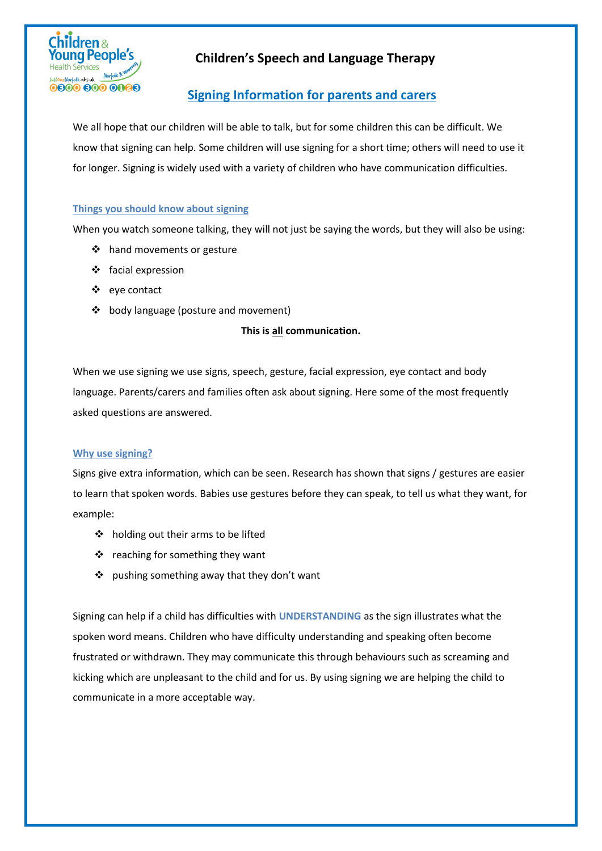

# **Signing Information for parents and carers**

We all hope that our children will be able to talk, but for some children this can be difficult. We know that signing can help. Some children will use signing for a short time; others will need to use it for longer. Signing is widely used with a variety of children who have communication difficulties.

### **Things you should know about signing**

When you watch someone talking, they will not just be saying the words, but they will also be using:

- hand movements or gesture
- ❖ facial expression
- eye contact
- ❖ body language (posture and movement)

#### **This is all communication.**

When we use signing we use signs, speech, gesture, facial expression, eye contact and body language. Parents/carers and families often ask about signing. Here some of the most frequently asked questions are answered.

### **Why use signing?**

Signs give extra information, which can be seen. Research has shown that signs / gestures are easier to learn that spoken words. Babies use gestures before they can speak, to tell us what they want, for example:

- ❖ holding out their arms to be lifted
- $\div$  reaching for something they want
- ❖ pushing something away that they don't want

Signing can help if a child has difficulties with **UNDERSTANDING** as the sign illustrates what the spoken word means. Children who have difficulty understanding and speaking often become frustrated or withdrawn. They may communicate this through behaviours such as screaming and kicking which are unpleasant to the child and for us. By using signing we are helping the child to communicate in a more acceptable way.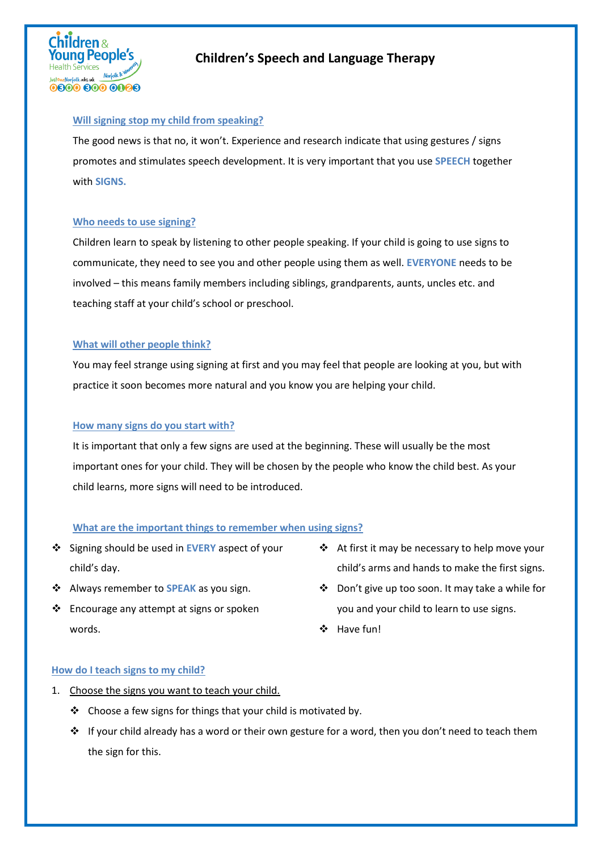

#### **Will signing stop my child from speaking?**

The good news is that no, it won't. Experience and research indicate that using gestures / signs promotes and stimulates speech development. It is very important that you use **SPEECH** together with **SIGNS.** 

#### **Who needs to use signing?**

Children learn to speak by listening to other people speaking. If your child is going to use signs to communicate, they need to see you and other people using them as well. **EVERYONE** needs to be involved – this means family members including siblings, grandparents, aunts, uncles etc. and teaching staff at your child's school or preschool.

#### **What will other people think?**

You may feel strange using signing at first and you may feel that people are looking at you, but with practice it soon becomes more natural and you know you are helping your child.

#### **How many signs do you start with?**

It is important that only a few signs are used at the beginning. These will usually be the most important ones for your child. They will be chosen by the people who know the child best. As your child learns, more signs will need to be introduced.

### **What are the important things to remember when using signs?**

- Signing should be used in **EVERY** aspect of your child's day.
- Always remember to **SPEAK** as you sign.
- $\cdot$  Encourage any attempt at signs or spoken words.
- At first it may be necessary to help move your child's arms and hands to make the first signs.
- Don't give up too soon. It may take a while for you and your child to learn to use signs.
- ❖ Have fun!

#### **How do I teach signs to my child?**

- 1. Choose the signs you want to teach your child.
	- $\triangle$  Choose a few signs for things that your child is motivated by.
	- $\cdot \cdot$  If your child already has a word or their own gesture for a word, then you don't need to teach them the sign for this.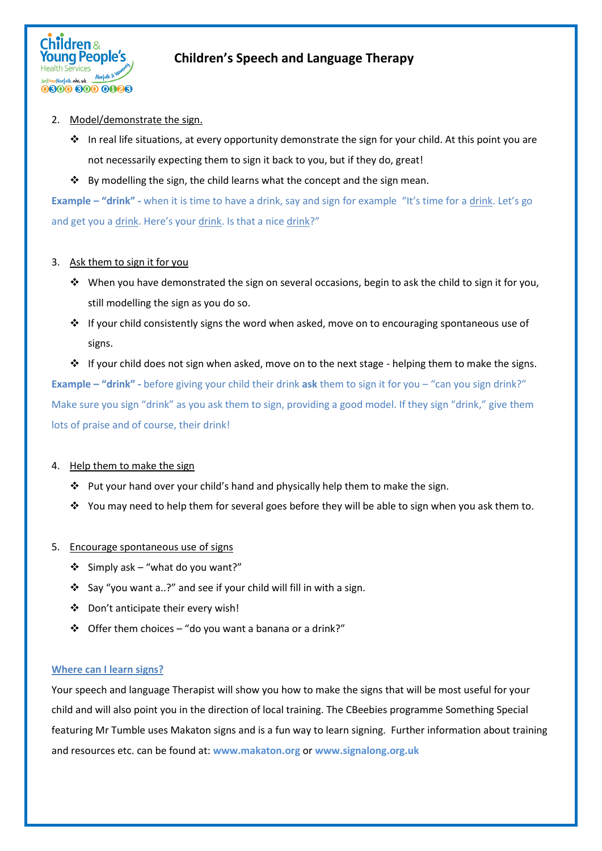

#### 2. Model/demonstrate the sign.

- In real life situations, at every opportunity demonstrate the sign for your child. At this point you are not necessarily expecting them to sign it back to you, but if they do, great!
- $\cdot$  By modelling the sign, the child learns what the concept and the sign mean.

**Example – "drink" -** when it is time to have a drink, say and sign for example "It's time for a drink. Let's go and get you a drink. Here's your drink. Is that a nice drink?"

### 3. Ask them to sign it for you

- When you have demonstrated the sign on several occasions, begin to ask the child to sign it for you, still modelling the sign as you do so.
- $\cdot \cdot$  If your child consistently signs the word when asked, move on to encouraging spontaneous use of signs.

 $\cdot \cdot$  If your child does not sign when asked, move on to the next stage - helping them to make the signs. **Example – "drink" -** before giving your child their drink **ask** them to sign it for you – "can you sign drink?" Make sure you sign "drink" as you ask them to sign, providing a good model. If they sign "drink," give them lots of praise and of course, their drink!

### 4. Help them to make the sign

- $\cdot$  Put your hand over your child's hand and physically help them to make the sign.
- You may need to help them for several goes before they will be able to sign when you ask them to.

#### 5. Encourage spontaneous use of signs

- $\div$  Simply ask "what do you want?"
- Say "you want a..?" and see if your child will fill in with a sign.
- Don't anticipate their every wish!
- $\triangleleft$  Offer them choices "do you want a banana or a drink?"

#### **Where can I learn signs?**

Your speech and language Therapist will show you how to make the signs that will be most useful for your child and will also point you in the direction of local training. The CBeebies programme Something Special featuring Mr Tumble uses Makaton signs and is a fun way to learn signing. Further information about training and resources etc. can be found at: **[www.makaton.org](http://www.makaton.org/)** or **[www.signalong.org.uk](http://www.signalong.org.uk/)**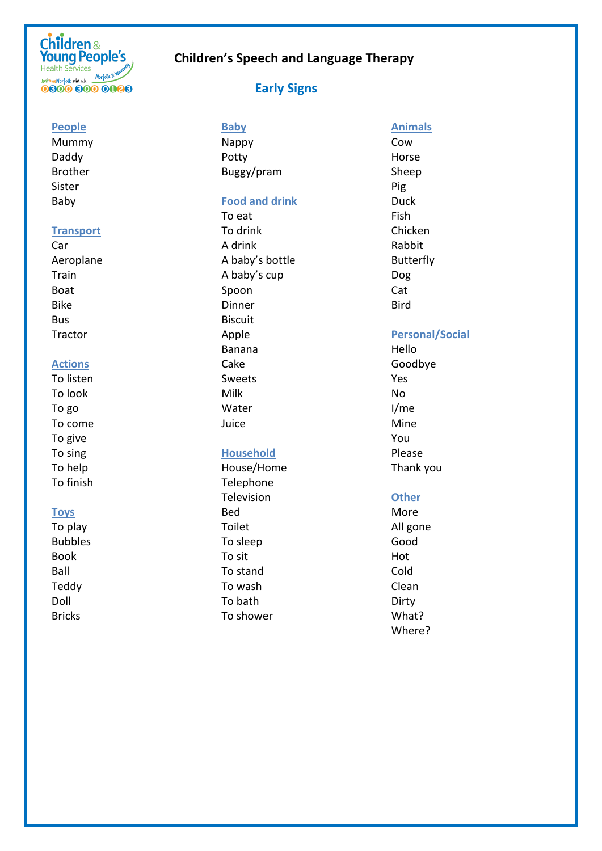# **Children &**<br>Young People's **Health Services** Health Services<br>JustoneNorfolk.nhs.uk Morfolk & No<br> **CROOC BOOC OF** 0800 800 0088

# **Children's Speech and Language Therapy**

## **Early Signs**

**People**

Mummy Daddy Brother Sister Baby

#### **Transport**

Car Aeroplane Train Boat Bike Bus **Tractor** 

#### **Actions**

To listen To look To go To come To give To sing To help To finish

### **Toys**

To play Bubbles Book Ball Teddy Doll Bricks

## **Baby**

Nappy Potty Buggy/pram

#### **Food and drink**

To eat To drink A drink A baby's bottle A baby's cup Spoon Dinner Biscuit Apple Banana Cake Sweets Milk Water Juice

### **Household**

House/Home Telephone Television Bed Toilet To sleep To sit To stand To wash To bath To shower

### **Animals**

Cow Horse Sheep Pig Duck Fish Chicken Rabbit Butterfly Dog Cat Bird

### **Personal/Social**

Hello Goodbye Yes No I/me Mine You Please Thank you

### **Other**

More All gone Good Hot Cold Clean Dirty What? Where?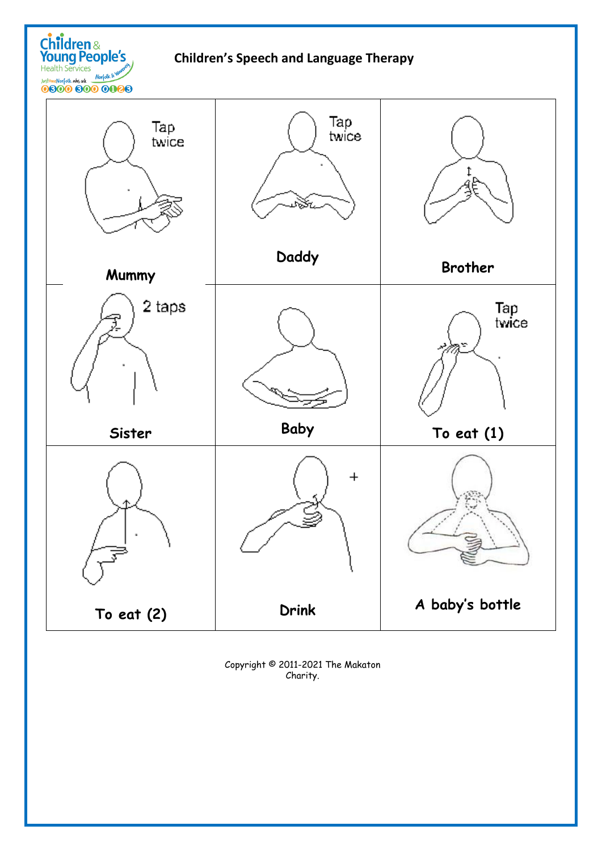Children &<br>Young People's Health Services<br>JustoneNorfolk.whs.uk Morfolk & World Company

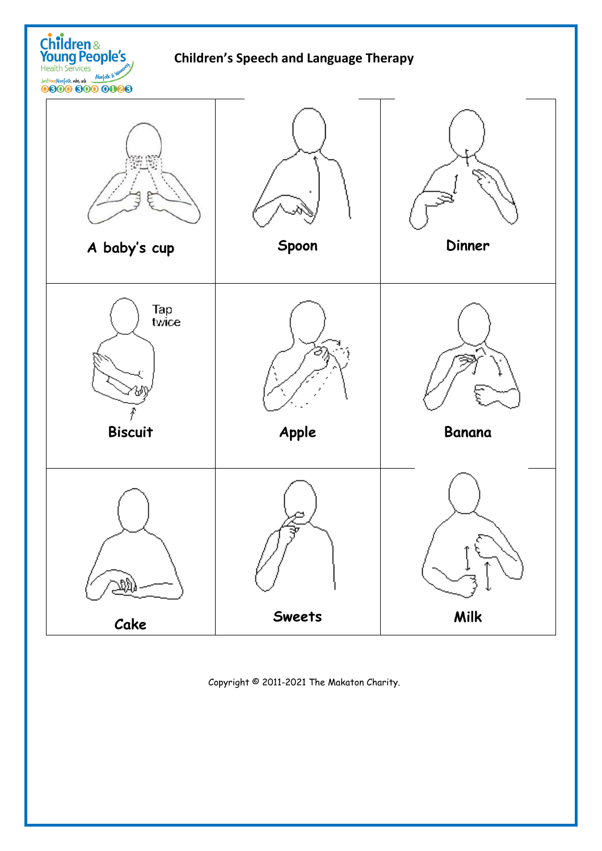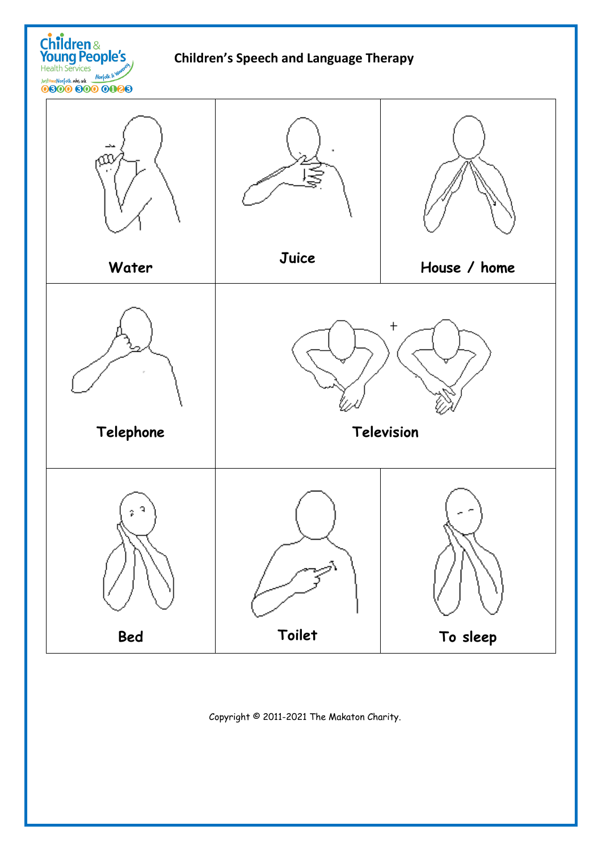

Children &<br>Young People's

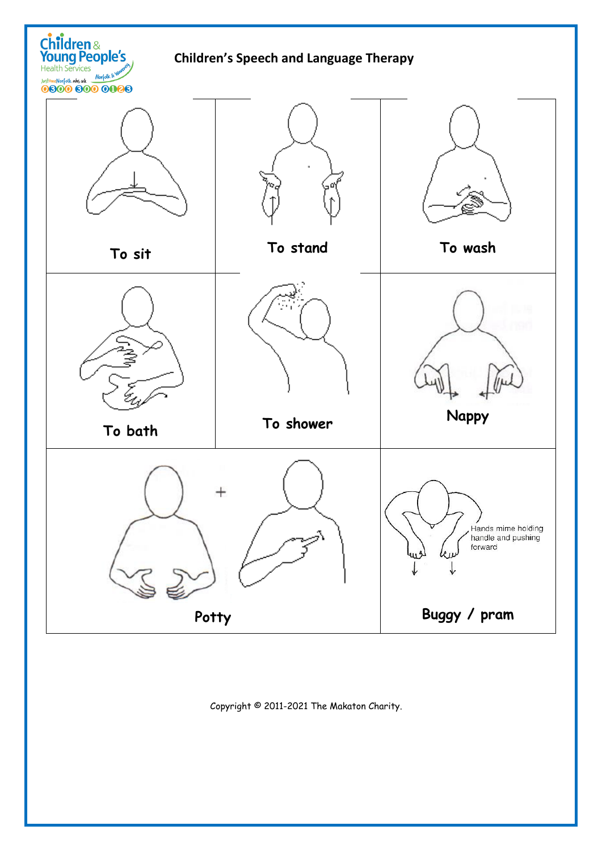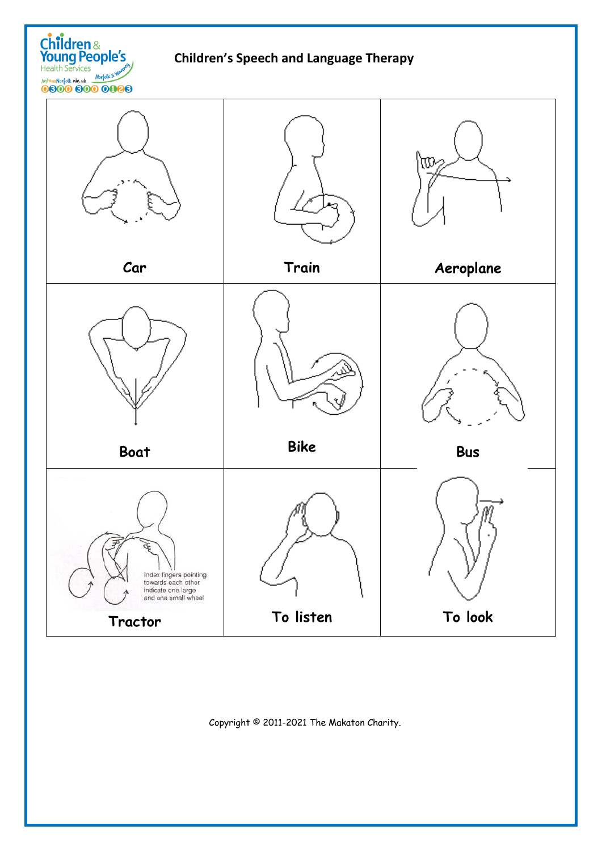

Children &<br>Young People's

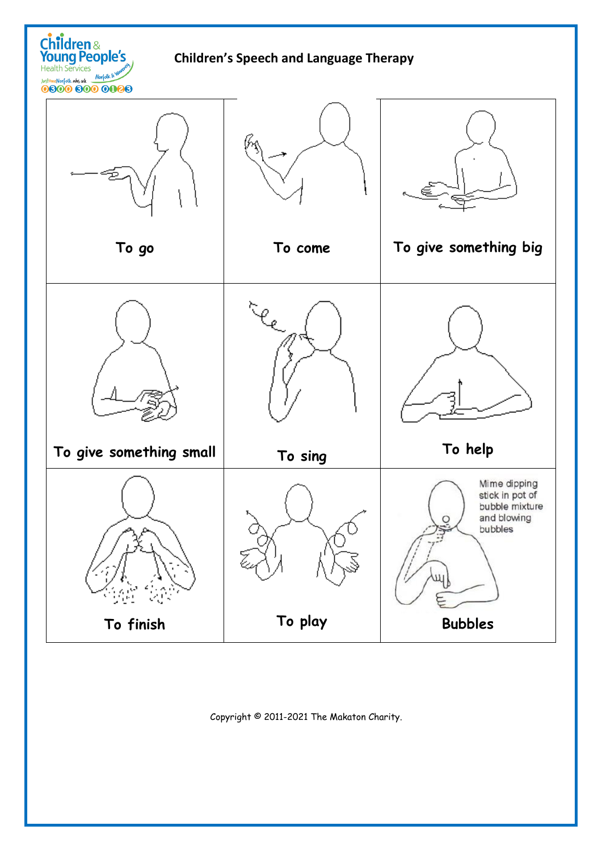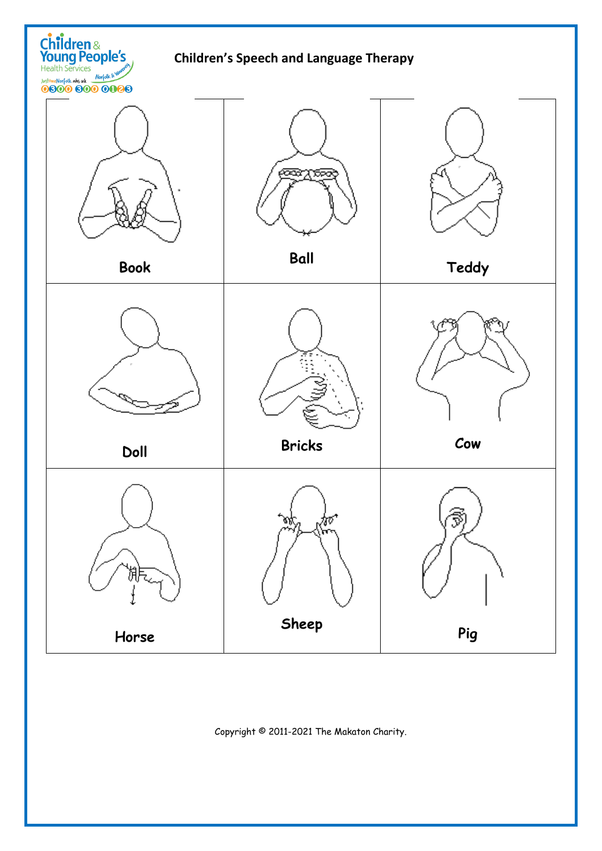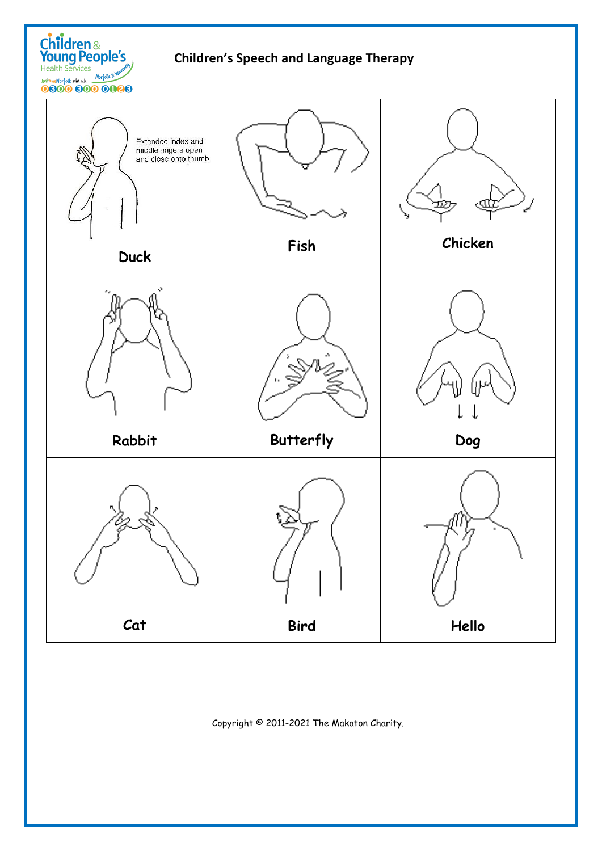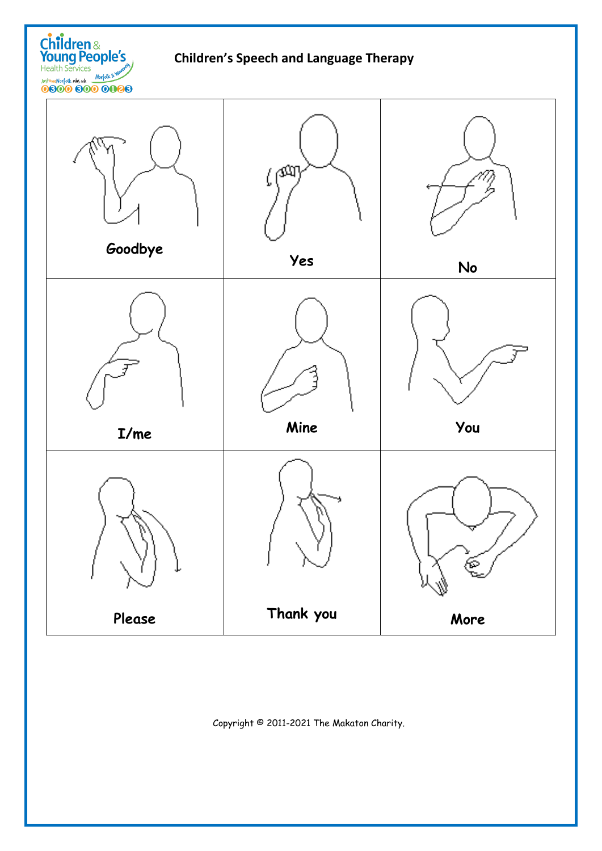